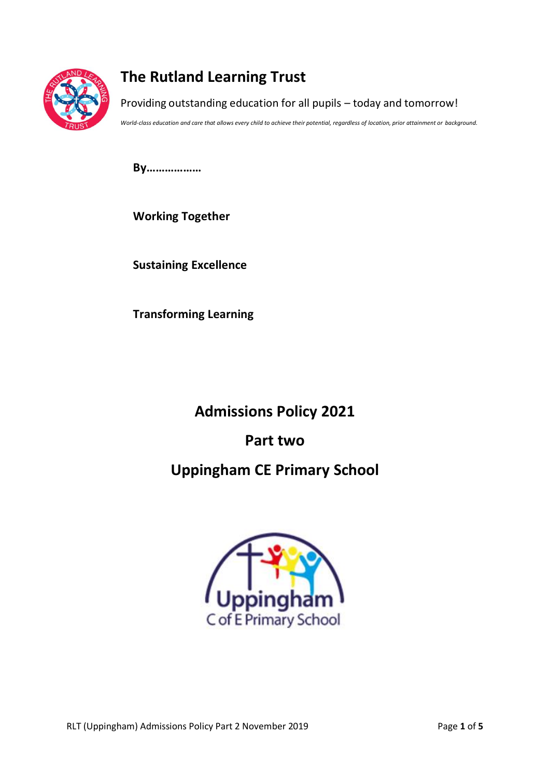

# **The Rutland Learning Trust**

Providing outstanding education for all pupils – today and tomorrow!

*World-class education and care that allows every child to achieve their potential, regardless of location, prior attainment or background.*

**By………………**

**Working Together**

**Sustaining Excellence**

**Transforming Learning**

## **Admissions Policy 2021**

## **Part two**

# **Uppingham CE Primary School**

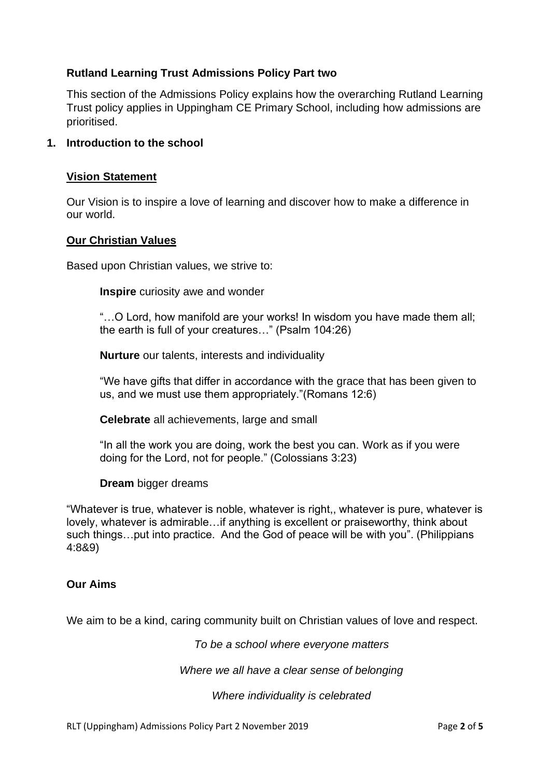## **Rutland Learning Trust Admissions Policy Part two**

This section of the Admissions Policy explains how the overarching Rutland Learning Trust policy applies in Uppingham CE Primary School, including how admissions are prioritised.

#### **1. Introduction to the school**

#### **Vision Statement**

Our Vision is to inspire a love of learning and discover how to make a difference in our world.

#### **Our Christian Values**

Based upon Christian values, we strive to:

**Inspire** curiosity awe and wonder

"…O Lord, how manifold are your works! In wisdom you have made them all; the earth is full of your creatures…" (Psalm 104:26)

**Nurture** our talents, interests and individuality

"We have gifts that differ in accordance with the grace that has been given to us, and we must use them appropriately."(Romans 12:6)

**Celebrate** all achievements, large and small

"In all the work you are doing, work the best you can. Work as if you were doing for the Lord, not for people." (Colossians 3:23)

**Dream** bigger dreams

"Whatever is true, whatever is noble, whatever is right,, whatever is pure, whatever is lovely, whatever is admirable…if anything is excellent or praiseworthy, think about such things…put into practice. And the God of peace will be with you". (Philippians 4:8&9)

#### **Our Aims**

We aim to be a kind, caring community built on Christian values of love and respect.

*To be a school where everyone matters*

*Where we all have a clear sense of belonging*

*Where individuality is celebrated*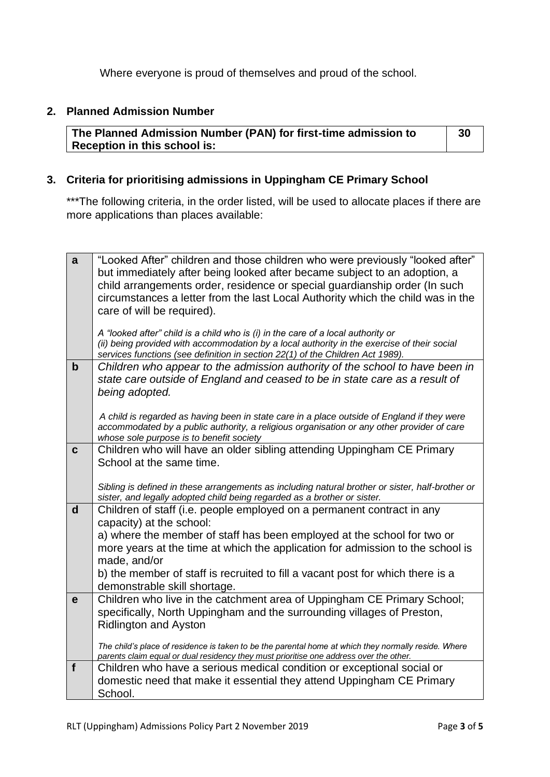Where everyone is proud of themselves and proud of the school.

## **2. Planned Admission Number**

**The Planned Admission Number (PAN) for first-time admission to Reception in this school is:**

**30**

## **3. Criteria for prioritising admissions in Uppingham CE Primary School**

\*\*\*The following criteria, in the order listed, will be used to allocate places if there are more applications than places available:

| a           | "Looked After" children and those children who were previously "looked after"<br>but immediately after being looked after became subject to an adoption, a<br>child arrangements order, residence or special guardianship order (In such<br>circumstances a letter from the last Local Authority which the child was in the<br>care of will be required).                                         |
|-------------|---------------------------------------------------------------------------------------------------------------------------------------------------------------------------------------------------------------------------------------------------------------------------------------------------------------------------------------------------------------------------------------------------|
|             | A "looked after" child is a child who is (i) in the care of a local authority or<br>(ii) being provided with accommodation by a local authority in the exercise of their social<br>services functions (see definition in section 22(1) of the Children Act 1989).                                                                                                                                 |
| b           | Children who appear to the admission authority of the school to have been in<br>state care outside of England and ceased to be in state care as a result of<br>being adopted.                                                                                                                                                                                                                     |
|             | A child is regarded as having been in state care in a place outside of England if they were<br>accommodated by a public authority, a religious organisation or any other provider of care<br>whose sole purpose is to benefit society                                                                                                                                                             |
| C           | Children who will have an older sibling attending Uppingham CE Primary<br>School at the same time.<br>Sibling is defined in these arrangements as including natural brother or sister, half-brother or<br>sister, and legally adopted child being regarded as a brother or sister.                                                                                                                |
| $\mathbf d$ | Children of staff (i.e. people employed on a permanent contract in any<br>capacity) at the school:<br>a) where the member of staff has been employed at the school for two or<br>more years at the time at which the application for admission to the school is<br>made, and/or<br>b) the member of staff is recruited to fill a vacant post for which there is a<br>demonstrable skill shortage. |
| $\mathbf e$ | Children who live in the catchment area of Uppingham CE Primary School;<br>specifically, North Uppingham and the surrounding villages of Preston,<br><b>Ridlington and Ayston</b><br>The child's place of residence is taken to be the parental home at which they normally reside. Where<br>parents claim equal or dual residency they must prioritise one address over the other.               |
| f           | Children who have a serious medical condition or exceptional social or<br>domestic need that make it essential they attend Uppingham CE Primary<br>School.                                                                                                                                                                                                                                        |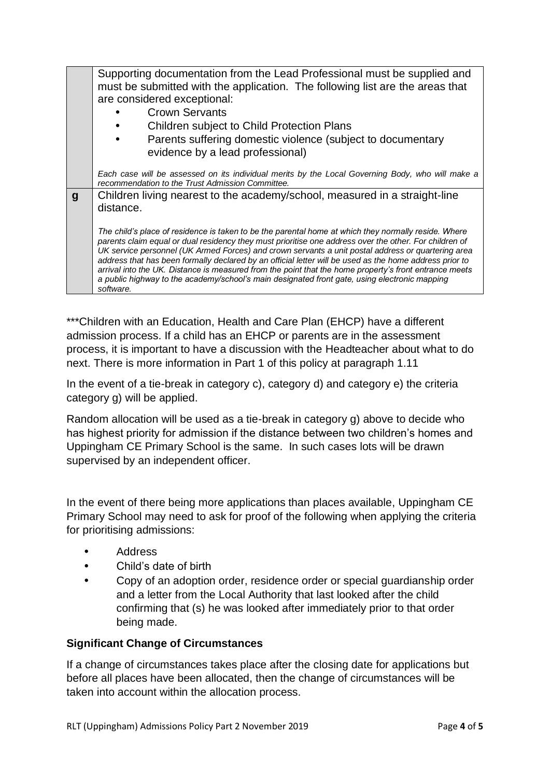|   | Supporting documentation from the Lead Professional must be supplied and                                                                                                                                      |
|---|---------------------------------------------------------------------------------------------------------------------------------------------------------------------------------------------------------------|
|   | must be submitted with the application. The following list are the areas that                                                                                                                                 |
|   | are considered exceptional:                                                                                                                                                                                   |
|   | <b>Crown Servants</b>                                                                                                                                                                                         |
|   | Children subject to Child Protection Plans                                                                                                                                                                    |
|   | Parents suffering domestic violence (subject to documentary                                                                                                                                                   |
|   | evidence by a lead professional)                                                                                                                                                                              |
|   |                                                                                                                                                                                                               |
|   | Each case will be assessed on its individual merits by the Local Governing Body, who will make a                                                                                                              |
|   | recommendation to the Trust Admission Committee.                                                                                                                                                              |
| g | Children living nearest to the academy/school, measured in a straight-line                                                                                                                                    |
|   | distance.                                                                                                                                                                                                     |
|   |                                                                                                                                                                                                               |
|   | The child's place of residence is taken to be the parental home at which they normally reside. Where                                                                                                          |
|   | parents claim equal or dual residency they must prioritise one address over the other. For children of                                                                                                        |
|   | UK service personnel (UK Armed Forces) and crown servants a unit postal address or quartering area<br>address that has been formally declared by an official letter will be used as the home address prior to |
|   | arrival into the UK. Distance is measured from the point that the home property's front entrance meets                                                                                                        |
|   | a public highway to the academy/school's main designated front gate, using electronic mapping                                                                                                                 |
|   | software.                                                                                                                                                                                                     |

\*\*\*Children with an Education, Health and Care Plan (EHCP) have a different admission process. If a child has an EHCP or parents are in the assessment process, it is important to have a discussion with the Headteacher about what to do next. There is more information in Part 1 of this policy at paragraph 1.11

In the event of a tie-break in category c), category d) and category e) the criteria category g) will be applied.

Random allocation will be used as a tie-break in category g) above to decide who has highest priority for admission if the distance between two children's homes and Uppingham CE Primary School is the same. In such cases lots will be drawn supervised by an independent officer.

In the event of there being more applications than places available, Uppingham CE Primary School may need to ask for proof of the following when applying the criteria for prioritising admissions:

- Address
- Child's date of birth
- Copy of an adoption order, residence order or special guardianship order and a letter from the Local Authority that last looked after the child confirming that (s) he was looked after immediately prior to that order being made.

### **Significant Change of Circumstances**

If a change of circumstances takes place after the closing date for applications but before all places have been allocated, then the change of circumstances will be taken into account within the allocation process.